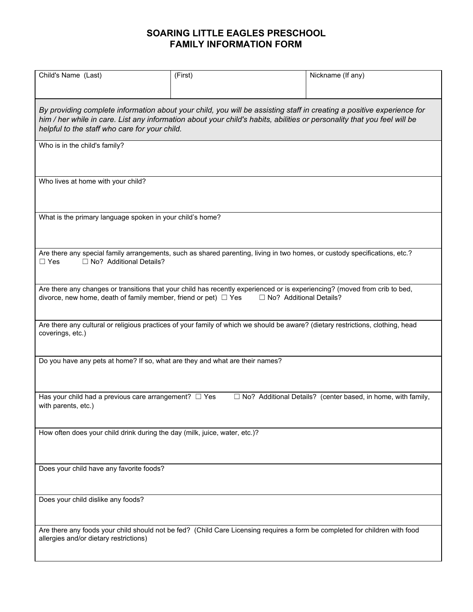## **SOARING LITTLE EAGLES PRESCHOOL FAMILY INFORMATION FORM**

| Child's Name (Last)                                                                                                                                                                                                                                                                               | (First) | Nickname (If any)                                                   |  |
|---------------------------------------------------------------------------------------------------------------------------------------------------------------------------------------------------------------------------------------------------------------------------------------------------|---------|---------------------------------------------------------------------|--|
| By providing complete information about your child, you will be assisting staff in creating a positive experience for<br>him / her while in care. List any information about your child's habits, abilities or personality that you feel will be<br>helpful to the staff who care for your child. |         |                                                                     |  |
| Who is in the child's family?                                                                                                                                                                                                                                                                     |         |                                                                     |  |
| Who lives at home with your child?                                                                                                                                                                                                                                                                |         |                                                                     |  |
| What is the primary language spoken in your child's home?                                                                                                                                                                                                                                         |         |                                                                     |  |
| Are there any special family arrangements, such as shared parenting, living in two homes, or custody specifications, etc.?<br>□ No? Additional Details?<br>$\Box$ Yes                                                                                                                             |         |                                                                     |  |
| Are there any changes or transitions that your child has recently experienced or is experiencing? (moved from crib to bed,<br>divorce, new home, death of family member, friend or pet) $\Box$ Yes<br>□ No? Additional Details?                                                                   |         |                                                                     |  |
| Are there any cultural or religious practices of your family of which we should be aware? (dietary restrictions, clothing, head<br>coverings, etc.)                                                                                                                                               |         |                                                                     |  |
| Do you have any pets at home? If so, what are they and what are their names?                                                                                                                                                                                                                      |         |                                                                     |  |
| Has your child had a previous care arrangement? $\Box$ Yes<br>with parents, etc.)                                                                                                                                                                                                                 |         | $\Box$ No? Additional Details? (center based, in home, with family, |  |
| How often does your child drink during the day (milk, juice, water, etc.)?                                                                                                                                                                                                                        |         |                                                                     |  |
| Does your child have any favorite foods?                                                                                                                                                                                                                                                          |         |                                                                     |  |
| Does your child dislike any foods?                                                                                                                                                                                                                                                                |         |                                                                     |  |
| Are there any foods your child should not be fed? (Child Care Licensing requires a form be completed for children with food<br>allergies and/or dietary restrictions)                                                                                                                             |         |                                                                     |  |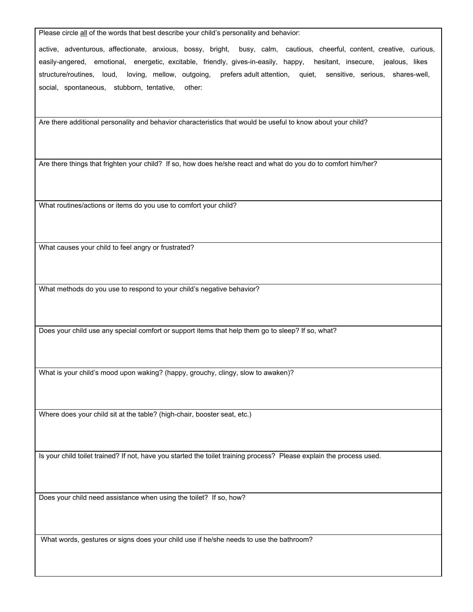Please circle all of the words that best describe your child's personality and behavior:

active, adventurous, affectionate, anxious, bossy, bright, busy, calm, cautious, cheerful, content, creative, curious, easily-angered, emotional, energetic, excitable, friendly, gives-in-easily, happy, hesitant, insecure, jealous, likes structure/routines, loud, loving, mellow, outgoing, prefers adult attention, quiet, sensitive, serious, shares-well, social, spontaneous, stubborn, tentative, other:

Are there additional personality and behavior characteristics that would be useful to know about your child?

Are there things that frighten your child? If so, how does he/she react and what do you do to comfort him/her?

What routines/actions or items do you use to comfort your child?

What causes your child to feel angry or frustrated?

What methods do you use to respond to your child's negative behavior?

Does your child use any special comfort or support items that help them go to sleep? If so, what?

What is your child's mood upon waking? (happy, grouchy, clingy, slow to awaken)?

Where does your child sit at the table? (high-chair, booster seat, etc.)

Is your child toilet trained? If not, have you started the toilet training process? Please explain the process used.

Does your child need assistance when using the toilet? If so, how?

What words, gestures or signs does your child use if he/she needs to use the bathroom?